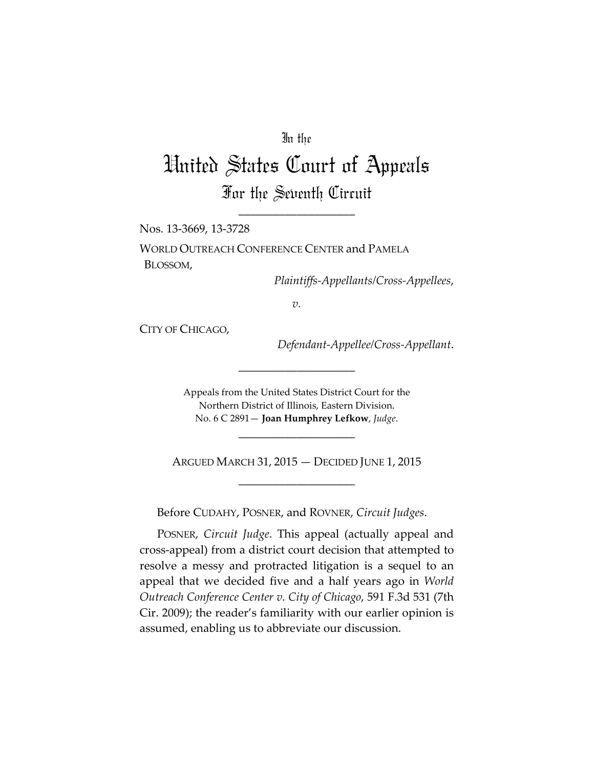## In the

## United States Court of Appeals For the Seventh Circuit

\_\_\_\_\_\_\_\_\_\_\_\_\_\_\_\_\_\_\_\_

Nos. 13-3669, 13-3728

WORLD OUTREACH CONFERENCE CENTER and PAMELA BLOSSOM,

*Plaintiffs-Appellants/Cross-Appellees*,

*v.*

CITY OF CHICAGO,

*Defendant-Appellee/Cross-Appellant*.

Appeals from the United States District Court for the Northern District of Illinois, Eastern Division. No. 6 C 2891— **Joan Humphrey Lefkow**, *Judge*.

\_\_\_\_\_\_\_\_\_\_\_\_\_\_\_\_\_\_\_\_

ARGUED MARCH 31, 2015 — DECIDED JUNE 1, 2015 \_\_\_\_\_\_\_\_\_\_\_\_\_\_\_\_\_\_\_\_

\_\_\_\_\_\_\_\_\_\_\_\_\_\_\_\_\_\_\_\_

Before CUDAHY, POSNER, and ROVNER, *Circuit Judges*.

POSNER, *Circuit Judge*. This appeal (actually appeal and cross-appeal) from a district court decision that attempted to resolve a messy and protracted litigation is a sequel to an appeal that we decided five and a half years ago in *World Outreach Conference Center v. City of Chicago*, 591 F.3d 531 (7th Cir. 2009); the reader's familiarity with our earlier opinion is assumed, enabling us to abbreviate our discussion.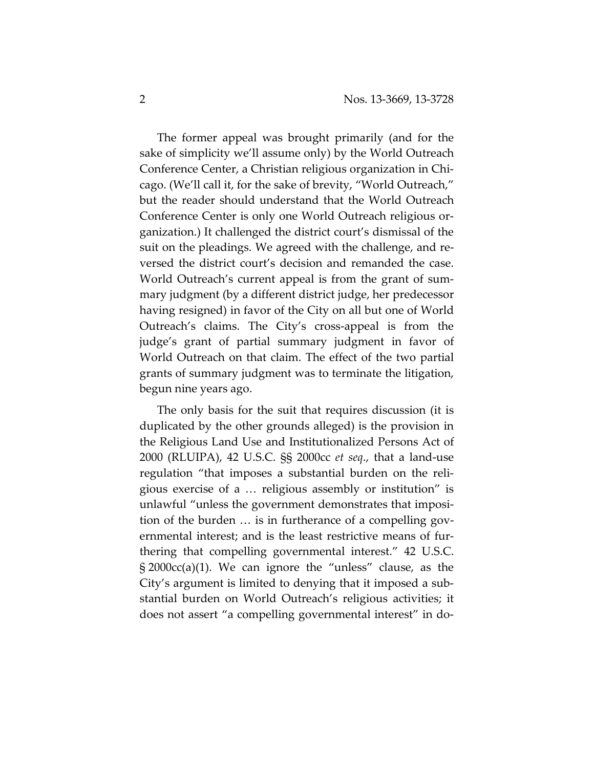The former appeal was brought primarily (and for the sake of simplicity we'll assume only) by the World Outreach Conference Center, a Christian religious organization in Chicago. (We'll call it, for the sake of brevity, "World Outreach," but the reader should understand that the World Outreach Conference Center is only one World Outreach religious organization.) It challenged the district court's dismissal of the suit on the pleadings. We agreed with the challenge, and reversed the district court's decision and remanded the case. World Outreach's current appeal is from the grant of summary judgment (by a different district judge, her predecessor having resigned) in favor of the City on all but one of World Outreach's claims. The City's cross-appeal is from the judge's grant of partial summary judgment in favor of World Outreach on that claim. The effect of the two partial grants of summary judgment was to terminate the litigation, begun nine years ago.

The only basis for the suit that requires discussion (it is duplicated by the other grounds alleged) is the provision in the Religious Land Use and Institutionalized Persons Act of 2000 (RLUIPA), 42 U.S.C. §§ 2000cc *et seq*., that a land-use regulation "that imposes a substantial burden on the religious exercise of a … religious assembly or institution" is unlawful "unless the government demonstrates that imposition of the burden … is in furtherance of a compelling governmental interest; and is the least restrictive means of furthering that compelling governmental interest." 42 U.S.C. § 2000cc(a)(1). We can ignore the "unless" clause, as the City's argument is limited to denying that it imposed a substantial burden on World Outreach's religious activities; it does not assert "a compelling governmental interest" in do-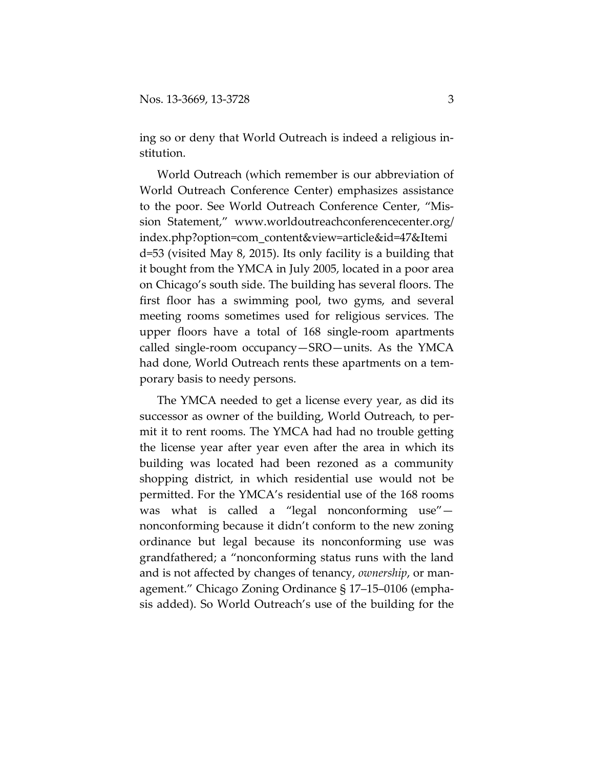ing so or deny that World Outreach is indeed a religious institution.

World Outreach (which remember is our abbreviation of World Outreach Conference Center) emphasizes assistance to the poor. See World Outreach Conference Center, "Mission Statement," [www.worldoutreachconferencecenter.org/](http://www.worldoutreachconferencecenter.org/index.php?option=com_content&view%E2%80%8C=%E2%80%8Carticle&id=47&Itemid=53) [index.php?option=com\\_content&view=article&id=47&Itemi](http://www.worldoutreachconferencecenter.org/index.php?option=com_content&view%E2%80%8C=%E2%80%8Carticle&id=47&Itemid=53) [d=53](http://www.worldoutreachconferencecenter.org/index.php?option=com_content&view%E2%80%8C=%E2%80%8Carticle&id=47&Itemid=53) (visited May 8, 2015). Its only facility is a building that it bought from the YMCA in July 2005, located in a poor area on Chicago's south side. The building has several floors. The first floor has a swimming pool, two gyms, and several meeting rooms sometimes used for religious services. The upper floors have a total of 168 single-room apartments called single-room occupancy—SRO—units. As the YMCA had done, World Outreach rents these apartments on a temporary basis to needy persons.

The YMCA needed to get a license every year, as did its successor as owner of the building, World Outreach, to permit it to rent rooms. The YMCA had had no trouble getting the license year after year even after the area in which its building was located had been rezoned as a community shopping district, in which residential use would not be permitted. For the YMCA's residential use of the 168 rooms was what is called a "legal nonconforming use" nonconforming because it didn't conform to the new zoning ordinance but legal because its nonconforming use was grandfathered; a "nonconforming status runs with the land and is not affected by changes of tenancy, *ownership*, or management." Chicago Zoning Ordinance § 17–15–0106 (emphasis added). So World Outreach's use of the building for the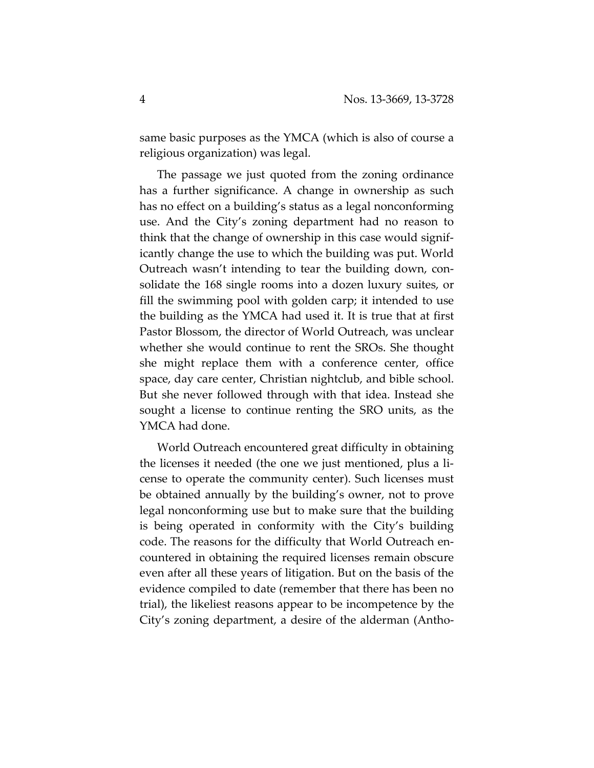same basic purposes as the YMCA (which is also of course a religious organization) was legal.

The passage we just quoted from the zoning ordinance has a further significance. A change in ownership as such has no effect on a building's status as a legal nonconforming use. And the City's zoning department had no reason to think that the change of ownership in this case would significantly change the use to which the building was put. World Outreach wasn't intending to tear the building down, consolidate the 168 single rooms into a dozen luxury suites, or fill the swimming pool with golden carp; it intended to use the building as the YMCA had used it. It is true that at first Pastor Blossom, the director of World Outreach, was unclear whether she would continue to rent the SROs. She thought she might replace them with a conference center, office space, day care center, Christian nightclub, and bible school. But she never followed through with that idea. Instead she sought a license to continue renting the SRO units, as the YMCA had done.

World Outreach encountered great difficulty in obtaining the licenses it needed (the one we just mentioned, plus a license to operate the community center). Such licenses must be obtained annually by the building's owner, not to prove legal nonconforming use but to make sure that the building is being operated in conformity with the City's building code. The reasons for the difficulty that World Outreach encountered in obtaining the required licenses remain obscure even after all these years of litigation. But on the basis of the evidence compiled to date (remember that there has been no trial), the likeliest reasons appear to be incompetence by the City's zoning department, a desire of the alderman (Antho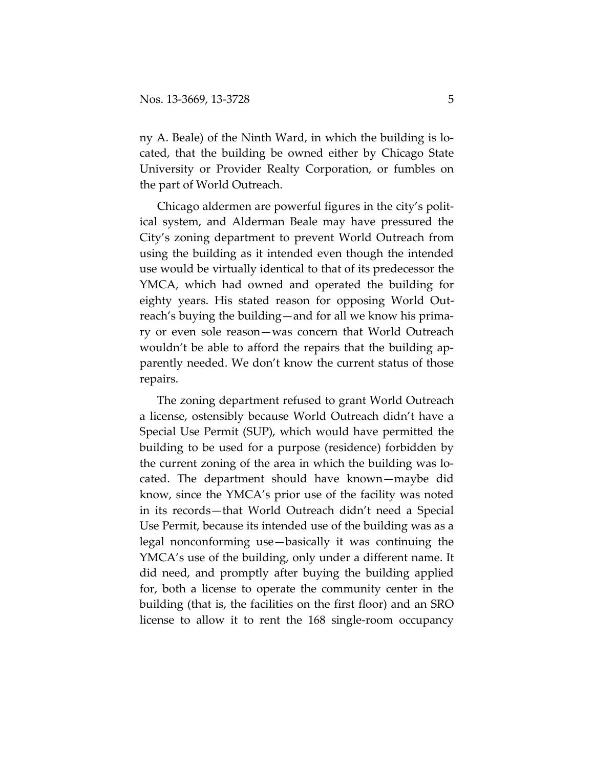ny A. Beale) of the Ninth Ward, in which the building is located, that the building be owned either by Chicago State University or Provider Realty Corporation, or fumbles on the part of World Outreach.

Chicago aldermen are powerful figures in the city's political system, and Alderman Beale may have pressured the City's zoning department to prevent World Outreach from using the building as it intended even though the intended use would be virtually identical to that of its predecessor the YMCA, which had owned and operated the building for eighty years. His stated reason for opposing World Outreach's buying the building—and for all we know his primary or even sole reason—was concern that World Outreach wouldn't be able to afford the repairs that the building apparently needed. We don't know the current status of those repairs.

The zoning department refused to grant World Outreach a license, ostensibly because World Outreach didn't have a Special Use Permit (SUP), which would have permitted the building to be used for a purpose (residence) forbidden by the current zoning of the area in which the building was located. The department should have known—maybe did know, since the YMCA's prior use of the facility was noted in its records—that World Outreach didn't need a Special Use Permit, because its intended use of the building was as a legal nonconforming use—basically it was continuing the YMCA's use of the building, only under a different name. It did need, and promptly after buying the building applied for, both a license to operate the community center in the building (that is, the facilities on the first floor) and an SRO license to allow it to rent the 168 single-room occupancy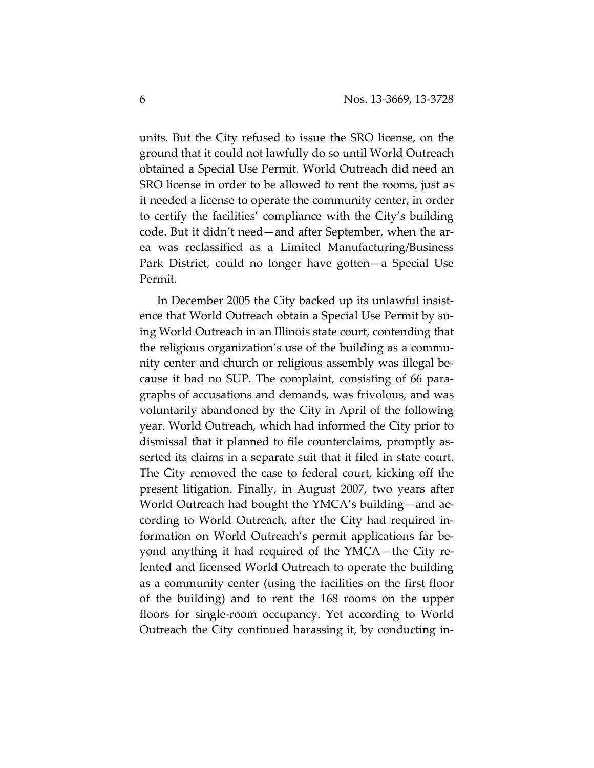units. But the City refused to issue the SRO license, on the ground that it could not lawfully do so until World Outreach obtained a Special Use Permit. World Outreach did need an SRO license in order to be allowed to rent the rooms, just as it needed a license to operate the community center, in order to certify the facilities' compliance with the City's building code. But it didn't need—and after September, when the area was reclassified as a Limited Manufacturing/Business Park District, could no longer have gotten—a Special Use Permit.

In December 2005 the City backed up its unlawful insistence that World Outreach obtain a Special Use Permit by suing World Outreach in an Illinois state court, contending that the religious organization's use of the building as a community center and church or religious assembly was illegal because it had no SUP. The complaint, consisting of 66 paragraphs of accusations and demands, was frivolous, and was voluntarily abandoned by the City in April of the following year. World Outreach, which had informed the City prior to dismissal that it planned to file counterclaims, promptly asserted its claims in a separate suit that it filed in state court. The City removed the case to federal court, kicking off the present litigation. Finally, in August 2007, two years after World Outreach had bought the YMCA's building—and according to World Outreach, after the City had required information on World Outreach's permit applications far beyond anything it had required of the YMCA—the City relented and licensed World Outreach to operate the building as a community center (using the facilities on the first floor of the building) and to rent the 168 rooms on the upper floors for single-room occupancy. Yet according to World Outreach the City continued harassing it, by conducting in-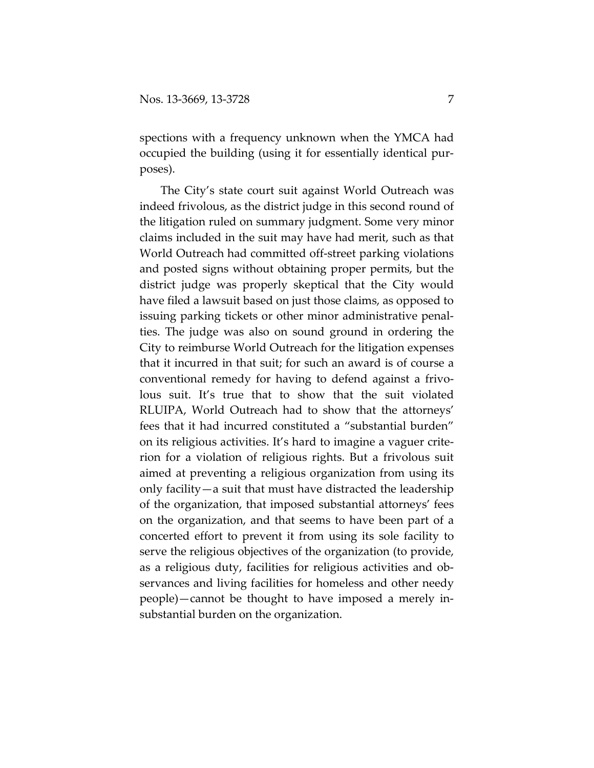spections with a frequency unknown when the YMCA had occupied the building (using it for essentially identical purposes).

The City's state court suit against World Outreach was indeed frivolous, as the district judge in this second round of the litigation ruled on summary judgment. Some very minor claims included in the suit may have had merit, such as that World Outreach had committed off-street parking violations and posted signs without obtaining proper permits, but the district judge was properly skeptical that the City would have filed a lawsuit based on just those claims, as opposed to issuing parking tickets or other minor administrative penalties. The judge was also on sound ground in ordering the City to reimburse World Outreach for the litigation expenses that it incurred in that suit; for such an award is of course a conventional remedy for having to defend against a frivolous suit. It's true that to show that the suit violated RLUIPA, World Outreach had to show that the attorneys' fees that it had incurred constituted a "substantial burden" on its religious activities. It's hard to imagine a vaguer criterion for a violation of religious rights. But a frivolous suit aimed at preventing a religious organization from using its only facility—a suit that must have distracted the leadership of the organization, that imposed substantial attorneys' fees on the organization, and that seems to have been part of a concerted effort to prevent it from using its sole facility to serve the religious objectives of the organization (to provide, as a religious duty, facilities for religious activities and observances and living facilities for homeless and other needy people)—cannot be thought to have imposed a merely insubstantial burden on the organization.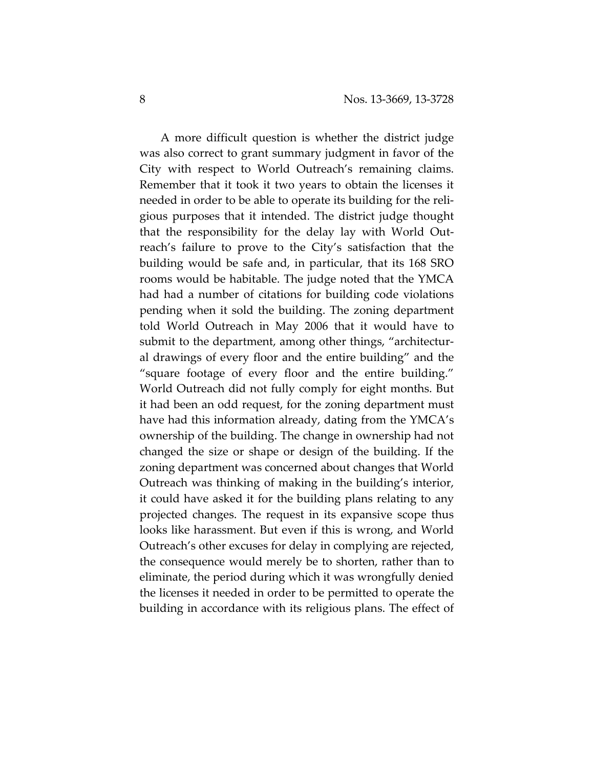A more difficult question is whether the district judge was also correct to grant summary judgment in favor of the City with respect to World Outreach's remaining claims. Remember that it took it two years to obtain the licenses it needed in order to be able to operate its building for the religious purposes that it intended. The district judge thought that the responsibility for the delay lay with World Outreach's failure to prove to the City's satisfaction that the building would be safe and, in particular, that its 168 SRO rooms would be habitable. The judge noted that the YMCA had had a number of citations for building code violations pending when it sold the building. The zoning department told World Outreach in May 2006 that it would have to submit to the department, among other things, "architectural drawings of every floor and the entire building" and the "square footage of every floor and the entire building." World Outreach did not fully comply for eight months. But it had been an odd request, for the zoning department must have had this information already, dating from the YMCA's ownership of the building. The change in ownership had not changed the size or shape or design of the building. If the zoning department was concerned about changes that World Outreach was thinking of making in the building's interior, it could have asked it for the building plans relating to any projected changes. The request in its expansive scope thus looks like harassment. But even if this is wrong, and World Outreach's other excuses for delay in complying are rejected, the consequence would merely be to shorten, rather than to eliminate, the period during which it was wrongfully denied the licenses it needed in order to be permitted to operate the building in accordance with its religious plans. The effect of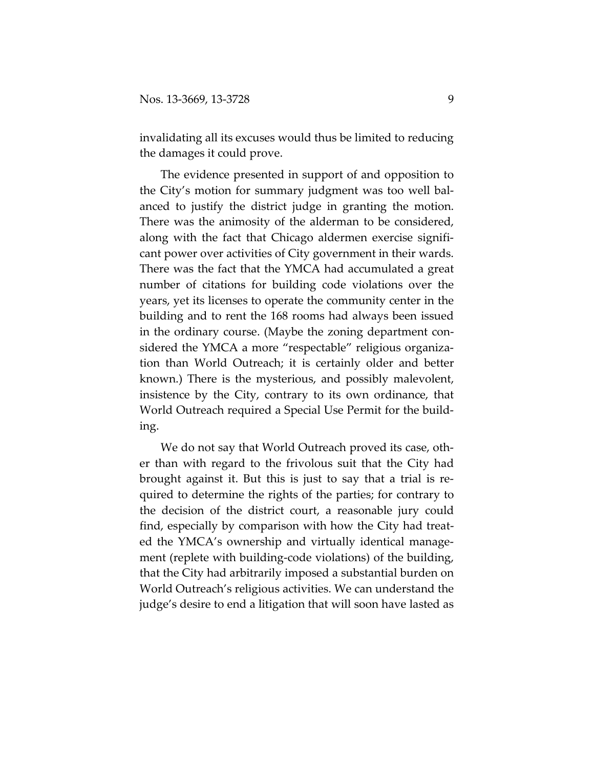invalidating all its excuses would thus be limited to reducing the damages it could prove.

The evidence presented in support of and opposition to the City's motion for summary judgment was too well balanced to justify the district judge in granting the motion. There was the animosity of the alderman to be considered, along with the fact that Chicago aldermen exercise significant power over activities of City government in their wards. There was the fact that the YMCA had accumulated a great number of citations for building code violations over the years, yet its licenses to operate the community center in the building and to rent the 168 rooms had always been issued in the ordinary course. (Maybe the zoning department considered the YMCA a more "respectable" religious organization than World Outreach; it is certainly older and better known.) There is the mysterious, and possibly malevolent, insistence by the City, contrary to its own ordinance, that World Outreach required a Special Use Permit for the building.

We do not say that World Outreach proved its case, other than with regard to the frivolous suit that the City had brought against it. But this is just to say that a trial is required to determine the rights of the parties; for contrary to the decision of the district court, a reasonable jury could find, especially by comparison with how the City had treated the YMCA's ownership and virtually identical management (replete with building-code violations) of the building, that the City had arbitrarily imposed a substantial burden on World Outreach's religious activities. We can understand the judge's desire to end a litigation that will soon have lasted as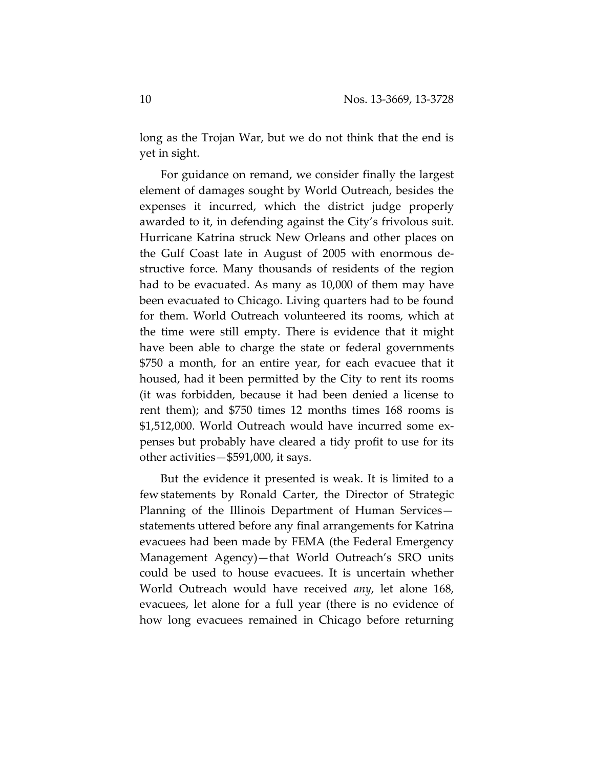long as the Trojan War, but we do not think that the end is yet in sight.

For guidance on remand, we consider finally the largest element of damages sought by World Outreach, besides the expenses it incurred, which the district judge properly awarded to it, in defending against the City's frivolous suit. Hurricane Katrina struck New Orleans and other places on the Gulf Coast late in August of 2005 with enormous destructive force. Many thousands of residents of the region had to be evacuated. As many as 10,000 of them may have been evacuated to Chicago. Living quarters had to be found for them. World Outreach volunteered its rooms, which at the time were still empty. There is evidence that it might have been able to charge the state or federal governments \$750 a month, for an entire year, for each evacuee that it housed, had it been permitted by the City to rent its rooms (it was forbidden, because it had been denied a license to rent them); and \$750 times 12 months times 168 rooms is \$1,512,000. World Outreach would have incurred some expenses but probably have cleared a tidy profit to use for its other activities—\$591,000, it says.

But the evidence it presented is weak. It is limited to a few statements by Ronald Carter, the Director of Strategic Planning of the Illinois Department of Human Services statements uttered before any final arrangements for Katrina evacuees had been made by FEMA (the Federal Emergency Management Agency)—that World Outreach's SRO units could be used to house evacuees. It is uncertain whether World Outreach would have received *any*, let alone 168, evacuees, let alone for a full year (there is no evidence of how long evacuees remained in Chicago before returning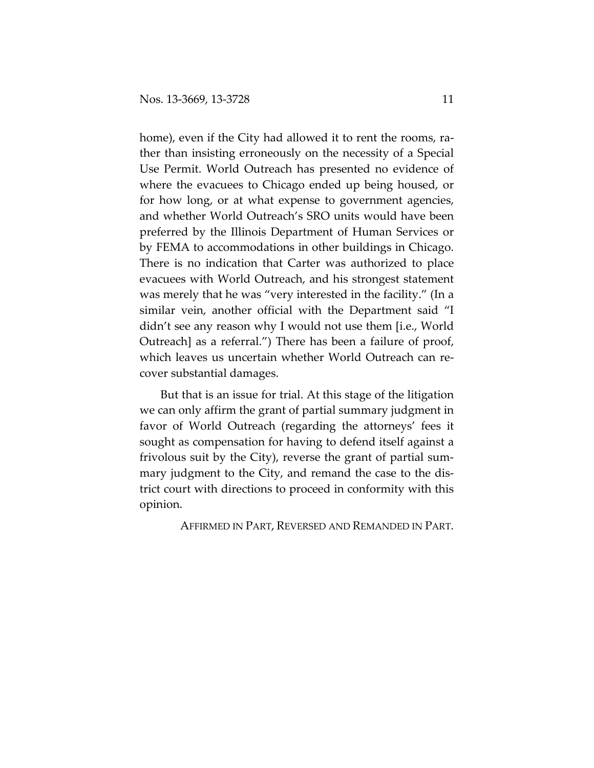home), even if the City had allowed it to rent the rooms, rather than insisting erroneously on the necessity of a Special Use Permit. World Outreach has presented no evidence of where the evacuees to Chicago ended up being housed, or for how long, or at what expense to government agencies, and whether World Outreach's SRO units would have been preferred by the Illinois Department of Human Services or by FEMA to accommodations in other buildings in Chicago. There is no indication that Carter was authorized to place evacuees with World Outreach, and his strongest statement was merely that he was "very interested in the facility." (In a similar vein, another official with the Department said "I didn't see any reason why I would not use them [i.e., World Outreach] as a referral.") There has been a failure of proof, which leaves us uncertain whether World Outreach can recover substantial damages.

But that is an issue for trial. At this stage of the litigation we can only affirm the grant of partial summary judgment in favor of World Outreach (regarding the attorneys' fees it sought as compensation for having to defend itself against a frivolous suit by the City), reverse the grant of partial summary judgment to the City, and remand the case to the district court with directions to proceed in conformity with this opinion.

AFFIRMED IN PART, REVERSED AND REMANDED IN PART.